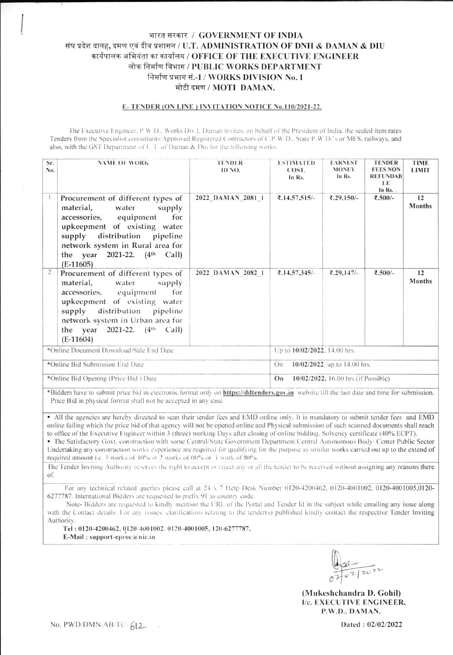## भारत सरकार / GOVERNMENT OF INDIA संघ प्रदेश दानह, दमण एवं दीव प्रशासन / U.T. ADMINISTRATION OF DNH & DAMAN & DIU कार्यपालक अभियंता का कार्यालय / OFFICE OF THE EXECUTIVE ENGINEER लोक निर्माण विभाग / PUBLIC WORKS DEPARTMENT निर्माण प्रभाग सं.-I / WORKS DIVISION No. I मोटी दमण / MOTI DAMAN.

#### E-TENDER (ON LINE) INVITATION NOTICE No.110/2021-22.

The Executive Engineer, P W.D., Works Div.1, Daman invites, on behalf of the President of India, the sealed item rates Tenders from the Specialist/consultants/Approved Registered Contractors of C.P.W.D., State P.W.D.'s or MES, railways, and also, with the GST Department of U.T. of Daman & Diu for the following works.

| Sr.<br>No.                                                                                                                                         | <b>NAME OF WORK</b>                                                                                                                                                                                                                                     | <b>TENDER</b><br>ID NO.                   | <b>ESTIMATED</b><br>COST.<br>In Rs. | <b>EARNEST</b><br><b>MONEY</b><br>In Rs. | <b>TENDER</b><br><b>FEES NON</b><br><b>REFUNDAB</b><br><b>LE</b><br>In Rs. | <b>TIME</b><br><b>LIMIT</b> |  |  |  |  |
|----------------------------------------------------------------------------------------------------------------------------------------------------|---------------------------------------------------------------------------------------------------------------------------------------------------------------------------------------------------------------------------------------------------------|-------------------------------------------|-------------------------------------|------------------------------------------|----------------------------------------------------------------------------|-----------------------------|--|--|--|--|
| 1.                                                                                                                                                 | Procurement of different types of<br>material,<br>water<br>supply<br>accessories, equipment for<br>upkeepment of existing water<br>supply distribution pipeline<br>network system in Rural area for<br>the year 2021-22. $(4th$ Call)<br>$(E-11605)$    | 2022 DAMAN 2081 1                         | ₹.14.57,515/-                       | ₹.29,150/-                               | ₹.500/-                                                                    | 12<br><b>Months</b>         |  |  |  |  |
| $\overline{2}$ .                                                                                                                                   | Procurement of different types of<br>supply<br>material,<br>water<br>accessories, equipment<br>for<br>upkeepment of existing water<br>supply distribution pipeline<br>network system in Urban area for<br>the year 2021-22. $(4th$ Call)<br>$(E-11604)$ | 2022 DAMAN 2082 1                         | ₹.14,57,345/-                       | ₹.29,147/-                               | ₹.500/-                                                                    | 12<br>Months                |  |  |  |  |
|                                                                                                                                                    | *Online Document Download/Sale End Date                                                                                                                                                                                                                 | Up to 10/02/2022, 14.00 hrs.              |                                     |                                          |                                                                            |                             |  |  |  |  |
|                                                                                                                                                    | *Online Bid Submission End Date                                                                                                                                                                                                                         | 10/02/2022, up to 14.00 hrs.<br>On        |                                     |                                          |                                                                            |                             |  |  |  |  |
|                                                                                                                                                    | *Online Bid Opening (Price Bid) Date                                                                                                                                                                                                                    | On<br>10/02/2022, 16.00 hrs.(if Possible) |                                     |                                          |                                                                            |                             |  |  |  |  |
| *Bidders have to submit price bid in electronic format only on <b>https://ddtenders.gov.in</b> website till the last date and time for submission. |                                                                                                                                                                                                                                                         |                                           |                                     |                                          |                                                                            |                             |  |  |  |  |

Price Bid in physical format shall not be accepted in any case.

• All the agencies are hereby directed to scan their tender fees and EMD online only. It is mandatory to submit tender fees and EMD online failing which the price bid of that agency will not be opened online and Physical submission of such scanned documents shall reach to office of the Executive Engineer within 3 (three) working Days after closing of online bidding. Solvency certificate (40% ECPT).

• The Satisfactory Govt. construction with some Central/State Government Department/Central Autonomous Body/ Center Public Sector Undertaking any construction works experience are required for qualifying for the purpose as similar works carried out up to the extend of required amount i.e. 3 works of 40% or 2 works of 60% or 1 work of 80%.

The Tender Inviting Authority reserves the right to accept or reject any or all the tender to be received without assigning any reasons there of.

For any technical related queries please call at 24 x 7 Help Desk Number 0120-4200462, 0120-4001002, 0120-4001005,0120-6277787. International Bidders are requested to prefix 91 as country code.

Note- Bidders are requested to kindly mention the URL of the Portal and Tender Id in the subject while emailing any issue along with the Contact details. For any issues/ clarifications relating to the tender(s) published kindly contact the respective Tender Inviting Authority.

Tel: 0120-4200462, 0120-4001002, 0120-4001005, 120-6277787, E-Mail: support-eproc@nic.in

(Mukeshchandra D. Gohil) I/c. EXECUTIVE ENGINEER, P.W.D., DAMAN.

No. PWD/DMN/AB/TC/612

Dated: 02/02/2022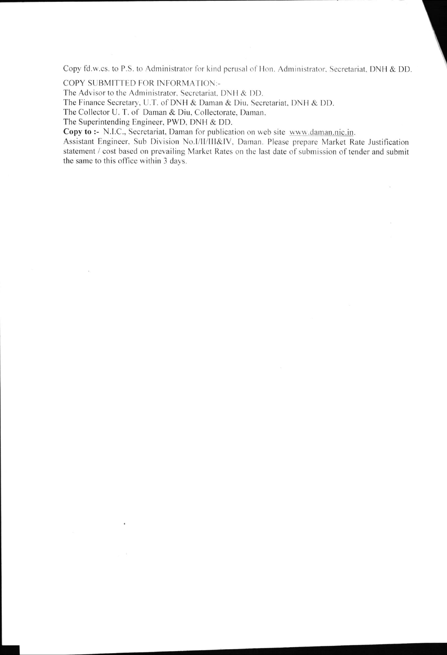Copy fd.w.cs. to P.S. to Administrator for kind perusal of Hon. Administrator, Secretariat, DNH & DD.

COPY SUBMITTED FOR INFORMATION:-

The Advisor to the Administrator, Secretariat, DNH & DD.

The Finance Secretary, U.T. of DNH & Daman & Diu, Secretariat, DNH & DD.

The Collector U. T. of Daman & Diu, Collectorate, Daman.

The Superintending Engineer, PWD, DNH & DD.

 $\sim$ 

Copy to :- N.I.C., Secretariat, Daman for publication on web site www.daman.nic.in.

Assistant Engineer, Sub Division No.I/II/III&IV, Daman. Please prepare Market Rate Justification statement / cost based on prevailing Market Rates on the last date of submission of tender and submit the same to this office within 3 days.

 $\mathcal{Q}^{\prime}$